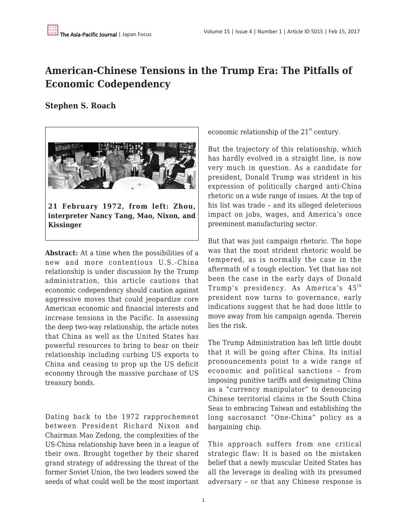# **American-Chinese Tensions in the Trump Era: The Pitfalls of Economic Codependency**

## **Stephen S. Roach**



**interpreter Nancy Tang, Mao, Nixon, and Kissinger**

**Abstract:** At a time when the possibilities of a new and more contentious U.S.-China relationship is under discussion by the Trump administration, this article cautions that economic codependency should caution against aggressive moves that could jeopardize core American economic and financial interests and increase tensions in the Pacific. In assessing the deep two-way relationship, the article notes that China as well as the United States has powerful resources to bring to bear on their relationship including curbing US exports to China and ceasing to prop up the US deficit economy through the massive purchase of US treasury bonds.

Dating back to the 1972 rapprochement between President Richard Nixon and Chairman Mao Zedong, the complexities of the US-China relationship have been in a league of their own. Brought together by their shared grand strategy of addressing the threat of the former Soviet Union, the two leaders sowed the seeds of what could well be the most important economic relationship of the  $21<sup>st</sup>$  century.

But the trajectory of this relationship, which has hardly evolved in a straight line, is now very much in question. As a candidate for president, Donald Trump was strident in his expression of politically charged anti-China rhetoric on a wide range of issues. At the top of his list was trade – and its alleged deleterious impact on jobs, wages, and America's once preeminent manufacturing sector.

But that was just campaign rhetoric. The hope was that the most strident rhetoric would be tempered, as is normally the case in the aftermath of a tough election. Yet that has not been the case in the early days of Donald Trump's presidency. As America's  $45<sup>th</sup>$ president now turns to governance, early indications suggest that he had done little to move away from his campaign agenda. Therein lies the risk.

The Trump Administration has left little doubt that it will be going after China. Its initial pronouncements point to a wide range of economic and political sanctions – from imposing punitive tariffs and designating China as a "currency manipulator" to denouncing Chinese territorial claims in the South China Seas to embracing Taiwan and establishing the long sacrosanct "One-China" policy as a bargaining chip.

This approach suffers from one critical strategic flaw: It is based on the mistaken belief that a newly muscular United States has all the leverage in dealing with its presumed adversary – or that any Chinese response is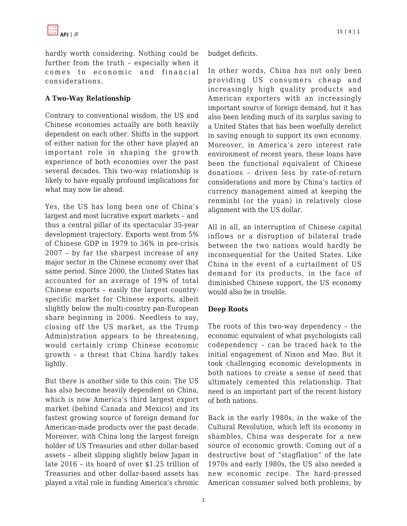hardly worth considering. Nothing could be further from the truth – especially when it comes to economic and financial considerations.

## **A Two-Way Relationship**

Contrary to conventional wisdom, the US and Chinese economies actually are both heavily dependent on each other. Shifts in the support of either nation for the other have played an important role in shaping the growth experience of both economies over the past several decades. This two-way relationship is likely to have equally profound implications for what may now lie ahead.

Yes, the US has long been one of China's largest and most lucrative export markets – and thus a central pillar of its spectacular 35-year development trajectory. Exports went from 5% of Chinese GDP in 1979 to 36% in pre-crisis 2007 – by far the sharpest increase of any major sector in the Chinese economy over that same period. Since 2000, the United States has accounted for an average of 19% of total Chinese exports – easily the largest countryspecific market for Chinese exports, albeit slightly below the multi-country pan-European share beginning in 2006. Needless to say, closing off the US market, as the Trump Administration appears to be threatening, would certainly crimp Chinese economic growth – a threat that China hardly takes lightly.

But there is another side to this coin: The US has also become heavily dependent on China, which is now America's third largest export market (behind Canada and Mexico) and its fastest growing source of foreign demand for American-made products over the past decade. Moreover, with China long the largest foreign holder of US Treasuries and other dollar-based assets – albeit slipping slightly below Japan in late 2016 – its hoard of over \$1.25 trillion of Treasuries and other dollar-based assets has played a vital role in funding America's chronic budget deficits.

In other words, China has not only been providing US consumers cheap and increasingly high quality products and American exporters with an increasingly important source of foreign demand, but it has also been lending much of its surplus saving to a United States that has been woefully derelict in saving enough to support its own economy. Moreover, in America's zero interest rate environment of recent years, these loans have been the functional equivalent of Chinese donations – driven less by rate-of-return considerations and more by China's tactics of currency management aimed at keeping the renminbi (or the yuan) in relatively close alignment with the US dollar.

All in all, an interruption of Chinese capital inflows or a disruption of bilateral trade between the two nations would hardly be inconsequential for the United States. Like China in the event of a curtailment of US demand for its products, in the face of diminished Chinese support, the US economy would also be in trouble.

#### **Deep Roots**

The roots of this two-way dependency – the economic equivalent of what psychologists call codependency – can be traced back to the initial engagement of Nixon and Mao. But it took challenging economic developments in both nations to create a sense of need that ultimately cemented this relationship. That need is an important part of the recent history of both nations.

Back in the early 1980s, in the wake of the Cultural Revolution, which left its economy in shambles, China was desperate for a new source of economic growth. Coming out of a destructive bout of "stagflation" of the late 1970s and early 1980s, the US also needed a new economic recipe. The hard-pressed American consumer solved both problems, by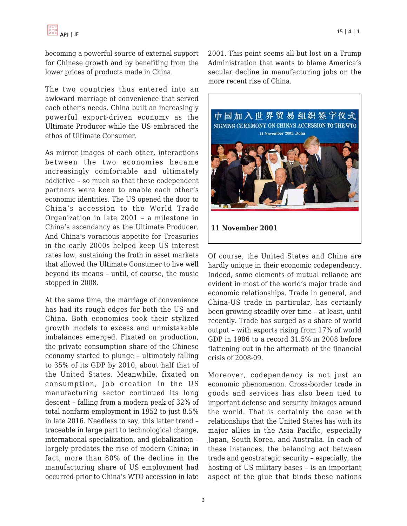becoming a powerful source of external support for Chinese growth and by benefiting from the lower prices of products made in China.

The two countries thus entered into an awkward marriage of convenience that served each other's needs. China built an increasingly powerful export-driven economy as the Ultimate Producer while the US embraced the ethos of Ultimate Consumer.

As mirror images of each other, interactions between the two economies became increasingly comfortable and ultimately addictive – so much so that these codependent partners were keen to enable each other's economic identities. The US opened the door to China's accession to the World Trade Organization in late 2001 – a milestone in China's ascendancy as the Ultimate Producer. And China's voracious appetite for Treasuries in the early 2000s helped keep US interest rates low, sustaining the froth in asset markets that allowed the Ultimate Consumer to live well beyond its means – until, of course, the music stopped in 2008.

At the same time, the marriage of convenience has had its rough edges for both the US and China. Both economies took their stylized growth models to excess and unmistakable imbalances emerged. Fixated on production, the private consumption share of the Chinese economy started to plunge – ultimately falling to 35% of its GDP by 2010, about half that of the United States. Meanwhile, fixated on consumption, job creation in the US manufacturing sector continued its long descent – falling from a modern peak of 32% of total nonfarm employment in 1952 to just 8.5% in late 2016. Needless to say, this latter trend – traceable in large part to technological change, international specialization, and globalization – largely predates the rise of modern China; in fact, more than 80% of the decline in the manufacturing share of US employment had occurred prior to China's WTO accession in late

APJ | JF $\,$  15 | 4 | 1 $\,$ 

2001. This point seems all but lost on a Trump Administration that wants to blame America's secular decline in manufacturing jobs on the more recent rise of China.



Of course, the United States and China are hardly unique in their economic codependency. Indeed, some elements of mutual reliance are evident in most of the world's major trade and economic relationships. Trade in general, and China-US trade in particular, has certainly been growing steadily over time – at least, until recently. Trade has surged as a share of world output – with exports rising from 17% of world GDP in 1986 to a record 31.5% in 2008 before flattening out in the aftermath of the financial crisis of 2008-09.

Moreover, codependency is not just an economic phenomenon. Cross-border trade in goods and services has also been tied to important defense and security linkages around the world. That is certainly the case with relationships that the United States has with its major allies in the Asia Pacific, especially Japan, South Korea, and Australia. In each of these instances, the balancing act between trade and geostrategic security – especially, the hosting of US military bases – is an important aspect of the glue that binds these nations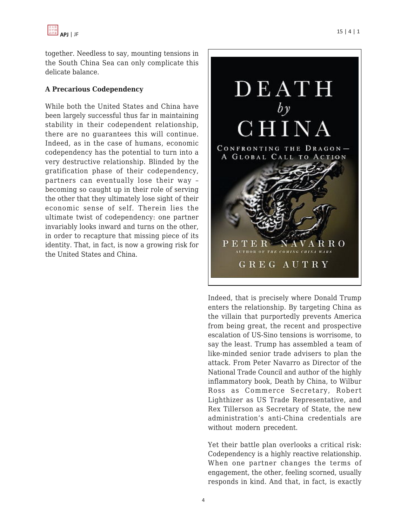

together. Needless to say, mounting tensions in the South China Sea can only complicate this delicate balance.

#### **A Precarious Codependency**

While both the United States and China have been largely successful thus far in maintaining stability in their codependent relationship, there are no guarantees this will continue. Indeed, as in the case of humans, economic codependency has the potential to turn into a very destructive relationship. Blinded by the gratification phase of their codependency, partners can eventually lose their way – becoming so caught up in their role of serving the other that they ultimately lose sight of their economic sense of self. Therein lies the ultimate twist of codependency: one partner invariably looks inward and turns on the other, in order to recapture that missing piece of its identity. That, in fact, is now a growing risk for the United States and China.



Indeed, that is precisely where Donald Trump enters the relationship. By targeting China as the villain that purportedly prevents America from being great, the recent and prospective escalation of US-Sino tensions is worrisome, to say the least. Trump has assembled a team of like-minded senior trade advisers to plan the attack. From Peter Navarro as Director of the National Trade Council and author of the highly inflammatory book, Death by China, to Wilbur Ross as Commerce Secretary, Robert Lighthizer as US Trade Representative, and Rex Tillerson as Secretary of State, the new administration's anti-China credentials are without modern precedent.

Yet their battle plan overlooks a critical risk: Codependency is a highly reactive relationship. When one partner changes the terms of engagement, the other, feeling scorned, usually responds in kind. And that, in fact, is exactly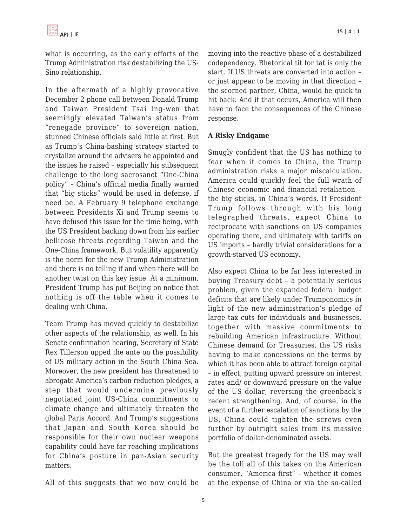what is occurring, as the early efforts of the Trump Administration risk destabilizing the US-Sino relationship.

In the aftermath of a highly provocative December 2 phone call between Donald Trump and Taiwan President Tsai Ing-wen that seemingly elevated Taiwan's status from "renegade province" to sovereign nation, stunned Chinese officials said little at first. But as Trump's China-bashing strategy started to crystalize around the advisers he appointed and the issues he raised – especially his subsequent challenge to the long sacrosanct "One-China policy" – China's official media finally warned that "big sticks" would be used in defense, if need be. A February 9 telephone exchange between Presidents Xi and Trump seems to have defused this issue for the time being, with the US President backing down from his earlier bellicose threats regarding Taiwan and the One-China framework. But volatility apparently is the norm for the new Trump Administration and there is no telling if and when there will be another twist on this key issue. At a minimum, President Trump has put Beijing on notice that nothing is off the table when it comes to dealing with China.

Team Trump has moved quickly to destabilize other aspects of the relationship, as well. In his Senate confirmation hearing, Secretary of State Rex Tillerson upped the ante on the possibility of US military action in the South China Sea. Moreover, the new president has threatened to abrogate America's carbon reduction pledges, a step that would undermine previously negotiated joint US-China commitments to climate change and ultimately threaten the global Paris Accord. And Trump's suggestions that Japan and South Korea should be responsible for their own nuclear weapons capability could have far reaching implications for China's posture in pan-Asian security matters.

All of this suggests that we now could be

moving into the reactive phase of a destabilized codependency. Rhetorical tit for tat is only the start. If US threats are converted into action – or just appear to be moving in that direction – the scorned partner, China, would be quick to hit back. And if that occurs, America will then have to face the consequences of the Chinese response.

## **A Risky Endgame**

Smugly confident that the US has nothing to fear when it comes to China, the Trump administration risks a major miscalculation. America could quickly feel the full wrath of Chinese economic and financial retaliation – the big sticks, in China's words. If President Trump follows through with his long telegraphed threats, expect China to reciprocate with sanctions on US companies operating there, and ultimately with tariffs on US imports – hardly trivial considerations for a growth-starved US economy.

Also expect China to be far less interested in buying Treasury debt – a potentially serious problem, given the expanded federal budget deficits that are likely under Trumponomics in light of the new administration's pledge of large tax cuts for individuals and businesses, together with massive commitments to rebuilding American infrastructure. Without Chinese demand for Treasuries, the US risks having to make concessions on the terms by which it has been able to attract foreign capital – in effect, putting upward pressure on interest rates and/ or downward pressure on the value of the US dollar, reversing the greenback's recent strengthening. And, of course, in the event of a further escalation of sanctions by the US, China could tighten the screws even further by outright sales from its massive portfolio of dollar-denominated assets.

But the greatest tragedy for the US may well be the toll all of this takes on the American consumer. "America first" – whether it comes at the expense of China or via the so-called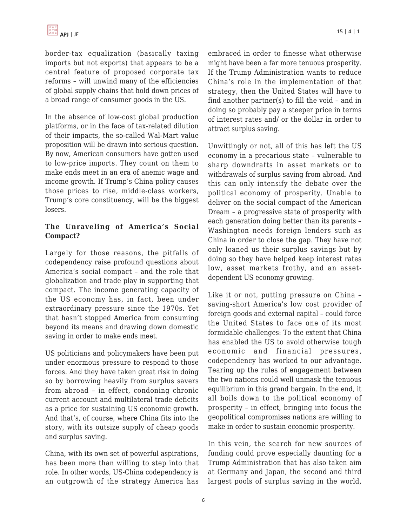border-tax equalization (basically taxing imports but not exports) that appears to be a central feature of proposed corporate tax reforms – will unwind many of the efficiencies of global supply chains that hold down prices of a broad range of consumer goods in the US.

In the absence of low-cost global production platforms, or in the face of tax-related dilution of their impacts, the so-called Wal-Mart value proposition will be drawn into serious question. By now, American consumers have gotten used to low-price imports. They count on them to make ends meet in an era of anemic wage and income growth. If Trump's China policy causes those prices to rise, middle-class workers, Trump's core constituency, will be the biggest losers.

### **The Unraveling of America's Social Compact?**

Largely for those reasons, the pitfalls of codependency raise profound questions about America's social compact – and the role that globalization and trade play in supporting that compact. The income generating capacity of the US economy has, in fact, been under extraordinary pressure since the 1970s. Yet that hasn't stopped America from consuming beyond its means and drawing down domestic saving in order to make ends meet.

US politicians and policymakers have been put under enormous pressure to respond to those forces. And they have taken great risk in doing so by borrowing heavily from surplus savers from abroad – in effect, condoning chronic current account and multilateral trade deficits as a price for sustaining US economic growth. And that's, of course, where China fits into the story, with its outsize supply of cheap goods and surplus saving.

China, with its own set of powerful aspirations, has been more than willing to step into that role. In other words, US-China codependency is an outgrowth of the strategy America has embraced in order to finesse what otherwise might have been a far more tenuous prosperity. If the Trump Administration wants to reduce China's role in the implementation of that strategy, then the United States will have to find another partner(s) to fill the void – and in doing so probably pay a steeper price in terms of interest rates and/ or the dollar in order to attract surplus saving.

Unwittingly or not, all of this has left the US economy in a precarious state – vulnerable to sharp downdrafts in asset markets or to withdrawals of surplus saving from abroad. And this can only intensify the debate over the political economy of prosperity. Unable to deliver on the social compact of the American Dream – a progressive state of prosperity with each generation doing better than its parents – Washington needs foreign lenders such as China in order to close the gap. They have not only loaned us their surplus savings but by doing so they have helped keep interest rates low, asset markets frothy, and an assetdependent US economy growing.

Like it or not, putting pressure on China – saving-short America's low cost provider of foreign goods and external capital – could force the United States to face one of its most formidable challenges: To the extent that China has enabled the US to avoid otherwise tough economic and financial pressures, codependency has worked to our advantage. Tearing up the rules of engagement between the two nations could well unmask the tenuous equilibrium in this grand bargain. In the end, it all boils down to the political economy of prosperity – in effect, bringing into focus the geopolitical compromises nations are willing to make in order to sustain economic prosperity.

In this vein, the search for new sources of funding could prove especially daunting for a Trump Administration that has also taken aim at Germany and Japan, the second and third largest pools of surplus saving in the world,